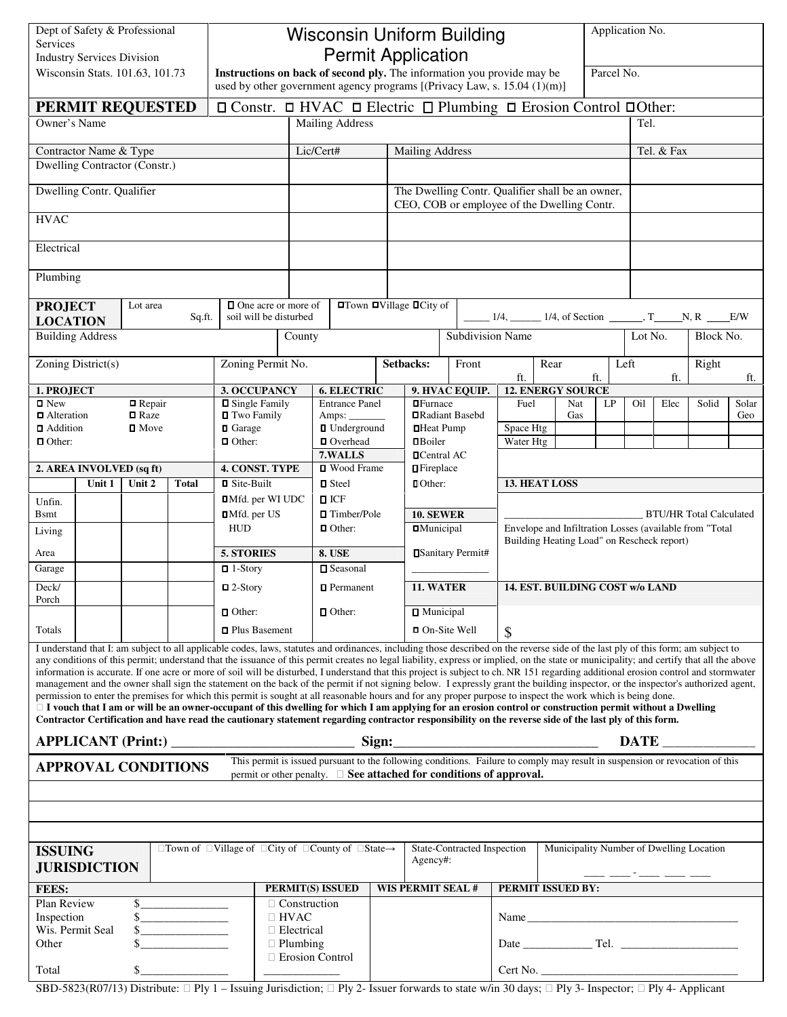| Dept of Safety & Professional<br>Services<br><b>Industry Services Division</b>                                                                                                                                                                                                                                                                                               |                         |                               |                        |                                               | Application No.<br><b>Wisconsin Uniform Building</b><br><b>Permit Application</b>                                                                                   |                                       |                                         |                                                                                                 |    |                                          |                                                                                                       |  |                          |            |         |      |           |              |
|------------------------------------------------------------------------------------------------------------------------------------------------------------------------------------------------------------------------------------------------------------------------------------------------------------------------------------------------------------------------------|-------------------------|-------------------------------|------------------------|-----------------------------------------------|---------------------------------------------------------------------------------------------------------------------------------------------------------------------|---------------------------------------|-----------------------------------------|-------------------------------------------------------------------------------------------------|----|------------------------------------------|-------------------------------------------------------------------------------------------------------|--|--------------------------|------------|---------|------|-----------|--------------|
| Wisconsin Stats. 101.63, 101.73                                                                                                                                                                                                                                                                                                                                              |                         |                               |                        |                                               | Instructions on back of second ply. The information you provide may be<br>Parcel No.<br>used by other government agency programs [(Privacy Law, s. 15.04 $(1)(m)$ ] |                                       |                                         |                                                                                                 |    |                                          |                                                                                                       |  |                          |            |         |      |           |              |
| PERMIT REQUESTED                                                                                                                                                                                                                                                                                                                                                             |                         |                               |                        |                                               | $\Box$ Constr. $\Box$ HVAC $\Box$ Electric $\Box$ Plumbing $\Box$ Erosion Control $\Box$ Other:                                                                     |                                       |                                         |                                                                                                 |    |                                          |                                                                                                       |  |                          |            |         |      |           |              |
| Owner's Name                                                                                                                                                                                                                                                                                                                                                                 |                         |                               |                        |                                               |                                                                                                                                                                     | <b>Mailing Address</b>                |                                         |                                                                                                 |    |                                          |                                                                                                       |  | Tel.                     |            |         |      |           |              |
|                                                                                                                                                                                                                                                                                                                                                                              | Contractor Name & Type  |                               |                        |                                               |                                                                                                                                                                     | Lic/Cert#                             |                                         | <b>Mailing Address</b>                                                                          |    |                                          |                                                                                                       |  |                          | Tel. & Fax |         |      |           |              |
|                                                                                                                                                                                                                                                                                                                                                                              |                         | Dwelling Contractor (Constr.) |                        |                                               |                                                                                                                                                                     |                                       |                                         |                                                                                                 |    |                                          |                                                                                                       |  |                          |            |         |      |           |              |
| Dwelling Contr. Qualifier                                                                                                                                                                                                                                                                                                                                                    |                         |                               |                        |                                               |                                                                                                                                                                     |                                       |                                         | The Dwelling Contr. Qualifier shall be an owner,<br>CEO, COB or employee of the Dwelling Contr. |    |                                          |                                                                                                       |  |                          |            |         |      |           |              |
| <b>HVAC</b>                                                                                                                                                                                                                                                                                                                                                                  |                         |                               |                        |                                               |                                                                                                                                                                     |                                       |                                         |                                                                                                 |    |                                          |                                                                                                       |  |                          |            |         |      |           |              |
| Electrical                                                                                                                                                                                                                                                                                                                                                                   |                         |                               |                        |                                               |                                                                                                                                                                     |                                       |                                         |                                                                                                 |    |                                          |                                                                                                       |  |                          |            |         |      |           |              |
| Plumbing                                                                                                                                                                                                                                                                                                                                                                     |                         |                               |                        |                                               |                                                                                                                                                                     |                                       |                                         |                                                                                                 |    |                                          |                                                                                                       |  |                          |            |         |      |           |              |
| Lot area<br><b>PROJECT</b><br>Sq.ft.<br><b>LOCATION</b>                                                                                                                                                                                                                                                                                                                      |                         |                               |                        |                                               | <b>D</b> One acre or more of<br>soil will be disturbed                                                                                                              |                                       |                                         | <b>OTown OVillage OCity of</b>                                                                  |    |                                          |                                                                                                       |  |                          |            |         |      |           |              |
|                                                                                                                                                                                                                                                                                                                                                                              | <b>Building Address</b> |                               |                        |                                               | County                                                                                                                                                              |                                       |                                         |                                                                                                 |    |                                          | <b>Subdivision Name</b>                                                                               |  |                          |            | Lot No. |      | Block No. |              |
|                                                                                                                                                                                                                                                                                                                                                                              |                         |                               |                        |                                               |                                                                                                                                                                     |                                       |                                         |                                                                                                 |    |                                          |                                                                                                       |  |                          |            |         |      |           |              |
| Zoning District(s)                                                                                                                                                                                                                                                                                                                                                           |                         |                               |                        | Zoning Permit No.                             |                                                                                                                                                                     |                                       |                                         | Setbacks:                                                                                       |    | Front                                    | Rear<br>ft.                                                                                           |  |                          | ft.        | Left    | ft.  | Right     | ft.          |
| 1. PROJECT                                                                                                                                                                                                                                                                                                                                                                   |                         |                               |                        | 3. OCCUPANCY                                  |                                                                                                                                                                     | <b>6. ELECTRIC</b>                    |                                         | 9. HVAC EQUIP.                                                                                  |    |                                          |                                                                                                       |  | <b>12. ENERGY SOURCE</b> |            |         |      |           |              |
| $\square$ New<br>□ Alteration                                                                                                                                                                                                                                                                                                                                                |                         | □ Repair<br><b>D</b> Raze     |                        | <b>D</b> Single Family<br><b>□</b> Two Family |                                                                                                                                                                     | <b>Entrance Panel</b><br>Amps: $\_\_$ |                                         | $\blacksquare$ Furnace<br>Radiant Basebd                                                        |    |                                          | Fuel                                                                                                  |  | Nat<br>Gas               | LP         | Oil     | Elec | Solid     | Solar<br>Geo |
| <b>□</b> Addition                                                                                                                                                                                                                                                                                                                                                            |                         | $\blacksquare$ Move           |                        | <b>O</b> Garage                               |                                                                                                                                                                     | <b>I</b> Underground                  |                                         | <b>□Heat Pump</b>                                                                               |    |                                          | Space Htg                                                                                             |  |                          |            |         |      |           |              |
| $\Box$ Other:                                                                                                                                                                                                                                                                                                                                                                |                         |                               |                        | Other:                                        |                                                                                                                                                                     | □ Overhead                            |                                         | <b>O</b> Boiler                                                                                 |    |                                          | Water Htg                                                                                             |  |                          |            |         |      |           |              |
|                                                                                                                                                                                                                                                                                                                                                                              |                         |                               |                        | <b>4. CONST. TYPE</b>                         |                                                                                                                                                                     | 7.WALLS<br><b>□</b> Wood Frame        |                                         | <b>D</b> Central AC<br>$\blacksquare$ Fireplace                                                 |    |                                          |                                                                                                       |  |                          |            |         |      |           |              |
| 2. AREA INVOLVED (sq ft)<br>Unit 1<br>Unit 2<br><b>Total</b>                                                                                                                                                                                                                                                                                                                 |                         |                               | <b>□</b> Site-Built    |                                               | <b>□</b> Steel                                                                                                                                                      |                                       | <b>D</b> Other:                         |                                                                                                 |    | <b>13. HEAT LOSS</b>                     |                                                                                                       |  |                          |            |         |      |           |              |
| Unfin.                                                                                                                                                                                                                                                                                                                                                                       |                         | <b>DMfd.</b> per WI UDC       |                        |                                               | $\Box$ ICF                                                                                                                                                          |                                       |                                         |                                                                                                 |    |                                          |                                                                                                       |  |                          |            |         |      |           |              |
| <b>B</b> smt                                                                                                                                                                                                                                                                                                                                                                 |                         |                               |                        | <b>DMfd.</b> per US                           |                                                                                                                                                                     | <b>□</b> Timber/Pole                  |                                         | <b>10. SEWER</b>                                                                                |    |                                          | <b>BTU/HR Total Calculated</b>                                                                        |  |                          |            |         |      |           |              |
| Living                                                                                                                                                                                                                                                                                                                                                                       |                         |                               | <b>HUD</b>             |                                               | <b>D</b> Other:                                                                                                                                                     |                                       |                                         | <b>D</b> Municipal                                                                              |    |                                          | Envelope and Infiltration Losses (available from "Total<br>Building Heating Load" on Rescheck report) |  |                          |            |         |      |           |              |
| Area                                                                                                                                                                                                                                                                                                                                                                         |                         |                               | <b>5. STORIES</b>      |                                               | $8.$ USE                                                                                                                                                            |                                       | <b>OSanitary Permit#</b>                |                                                                                                 |    |                                          |                                                                                                       |  |                          |            |         |      |           |              |
| Garage                                                                                                                                                                                                                                                                                                                                                                       |                         |                               | $\blacksquare$ 1-Story |                                               | □ Seasonal                                                                                                                                                          |                                       |                                         |                                                                                                 |    |                                          |                                                                                                       |  |                          |            |         |      |           |              |
| Deck/                                                                                                                                                                                                                                                                                                                                                                        |                         |                               | $\Box$ 2-Story         |                                               |                                                                                                                                                                     | <b>P</b> ermanent                     |                                         | 11. WATER                                                                                       |    | 14. EST. BUILDING COST w/o LAND          |                                                                                                       |  |                          |            |         |      |           |              |
| Porch                                                                                                                                                                                                                                                                                                                                                                        |                         |                               |                        | $\Box$ Other:                                 |                                                                                                                                                                     | Other:                                |                                         | $\Box$ Municipal                                                                                |    |                                          |                                                                                                       |  |                          |            |         |      |           |              |
| Totals                                                                                                                                                                                                                                                                                                                                                                       |                         |                               |                        | $\Box$ Plus Basement                          |                                                                                                                                                                     |                                       | $\Box$ On-Site Well                     |                                                                                                 | \$ |                                          |                                                                                                       |  |                          |            |         |      |           |              |
|                                                                                                                                                                                                                                                                                                                                                                              |                         |                               |                        |                                               |                                                                                                                                                                     |                                       |                                         |                                                                                                 |    |                                          |                                                                                                       |  |                          |            |         |      |           |              |
| I understand that I: am subject to all applicable codes, laws, statutes and ordinances, including those described on the reverse side of the last ply of this form; am subject to<br>any conditions of this permit; understand that the issuance of this permit creates no legal liability, express or implied, on the state or municipality; and certify that all the above |                         |                               |                        |                                               |                                                                                                                                                                     |                                       |                                         |                                                                                                 |    |                                          |                                                                                                       |  |                          |            |         |      |           |              |
| information is accurate. If one acre or more of soil will be disturbed, I understand that this project is subject to ch. NR 151 regarding additional erosion control and stormwater<br>management and the owner shall sign the statement on the back of the permit if not signing below. I expressly grant the building inspector, or the inspector's authorized agent,      |                         |                               |                        |                                               |                                                                                                                                                                     |                                       |                                         |                                                                                                 |    |                                          |                                                                                                       |  |                          |            |         |      |           |              |
| permission to enter the premises for which this permit is sought at all reasonable hours and for any proper purpose to inspect the work which is being done.                                                                                                                                                                                                                 |                         |                               |                        |                                               |                                                                                                                                                                     |                                       |                                         |                                                                                                 |    |                                          |                                                                                                       |  |                          |            |         |      |           |              |
| I vouch that I am or will be an owner-occupant of this dwelling for which I am applying for an erosion control or construction permit without a Dwelling<br>Contractor Certification and have read the cautionary statement regarding contractor responsibility on the reverse side of the last ply of this form.                                                            |                         |                               |                        |                                               |                                                                                                                                                                     |                                       |                                         |                                                                                                 |    |                                          |                                                                                                       |  |                          |            |         |      |           |              |
|                                                                                                                                                                                                                                                                                                                                                                              |                         |                               |                        |                                               |                                                                                                                                                                     |                                       |                                         |                                                                                                 |    |                                          |                                                                                                       |  |                          |            |         |      |           |              |
| This permit is issued pursuant to the following conditions. Failure to comply may result in suspension or revocation of this<br><b>APPROVAL CONDITIONS</b><br>See attached for conditions of approval.<br>permit or other penalty.                                                                                                                                           |                         |                               |                        |                                               |                                                                                                                                                                     |                                       |                                         |                                                                                                 |    |                                          |                                                                                                       |  |                          |            |         |      |           |              |
|                                                                                                                                                                                                                                                                                                                                                                              |                         |                               |                        |                                               |                                                                                                                                                                     |                                       |                                         |                                                                                                 |    |                                          |                                                                                                       |  |                          |            |         |      |           |              |
|                                                                                                                                                                                                                                                                                                                                                                              |                         |                               |                        |                                               |                                                                                                                                                                     |                                       |                                         |                                                                                                 |    |                                          |                                                                                                       |  |                          |            |         |      |           |              |
|                                                                                                                                                                                                                                                                                                                                                                              |                         |                               |                        |                                               |                                                                                                                                                                     |                                       |                                         |                                                                                                 |    |                                          |                                                                                                       |  |                          |            |         |      |           |              |
| Town of Village of City of County of State $\rightarrow$<br><b>ISSUING</b><br><b>JURISDICTION</b>                                                                                                                                                                                                                                                                            |                         |                               |                        |                                               |                                                                                                                                                                     |                                       | State-Contracted Inspection<br>Agency#: |                                                                                                 |    | Municipality Number of Dwelling Location |                                                                                                       |  |                          |            |         |      |           |              |
| FEES:                                                                                                                                                                                                                                                                                                                                                                        |                         |                               |                        |                                               | PERMIT(S) ISSUED                                                                                                                                                    |                                       | <b>WIS PERMIT SEAL #</b>                |                                                                                                 |    | PERMIT ISSUED BY:                        |                                                                                                       |  |                          |            |         |      |           |              |
| Plan Review<br><u> 1989 - Jan James James Barnett, president polit</u>                                                                                                                                                                                                                                                                                                       |                         |                               |                        |                                               | Construction                                                                                                                                                        |                                       |                                         |                                                                                                 |    |                                          |                                                                                                       |  |                          |            |         |      |           |              |
| Inspection<br>$\frac{1}{2}$<br>Wis. Permit Seal                                                                                                                                                                                                                                                                                                                              |                         |                               |                        | <b>HVAC</b>                                   |                                                                                                                                                                     |                                       |                                         |                                                                                                 |    |                                          |                                                                                                       |  |                          |            |         |      |           |              |
| Other                                                                                                                                                                                                                                                                                                                                                                        |                         |                               | Electrical<br>Plumbing |                                               |                                                                                                                                                                     |                                       |                                         |                                                                                                 |    |                                          |                                                                                                       |  |                          |            |         |      |           |              |
|                                                                                                                                                                                                                                                                                                                                                                              |                         |                               |                        |                                               | <b>Erosion Control</b>                                                                                                                                              |                                       |                                         |                                                                                                 |    |                                          |                                                                                                       |  |                          |            |         |      |           |              |
| Total                                                                                                                                                                                                                                                                                                                                                                        |                         |                               |                        |                                               |                                                                                                                                                                     |                                       |                                         |                                                                                                 |    |                                          |                                                                                                       |  | Cert No.                 |            |         |      |           |              |

|  | SBD-5823(R07/13) Distribute: Ply 1 – Issuing Jurisdiction; Ply 2- Issuer forwards to state w/in 30 days; Ply 3- Inspector; Ply 4- Applicant |  |
|--|---------------------------------------------------------------------------------------------------------------------------------------------|--|
|  |                                                                                                                                             |  |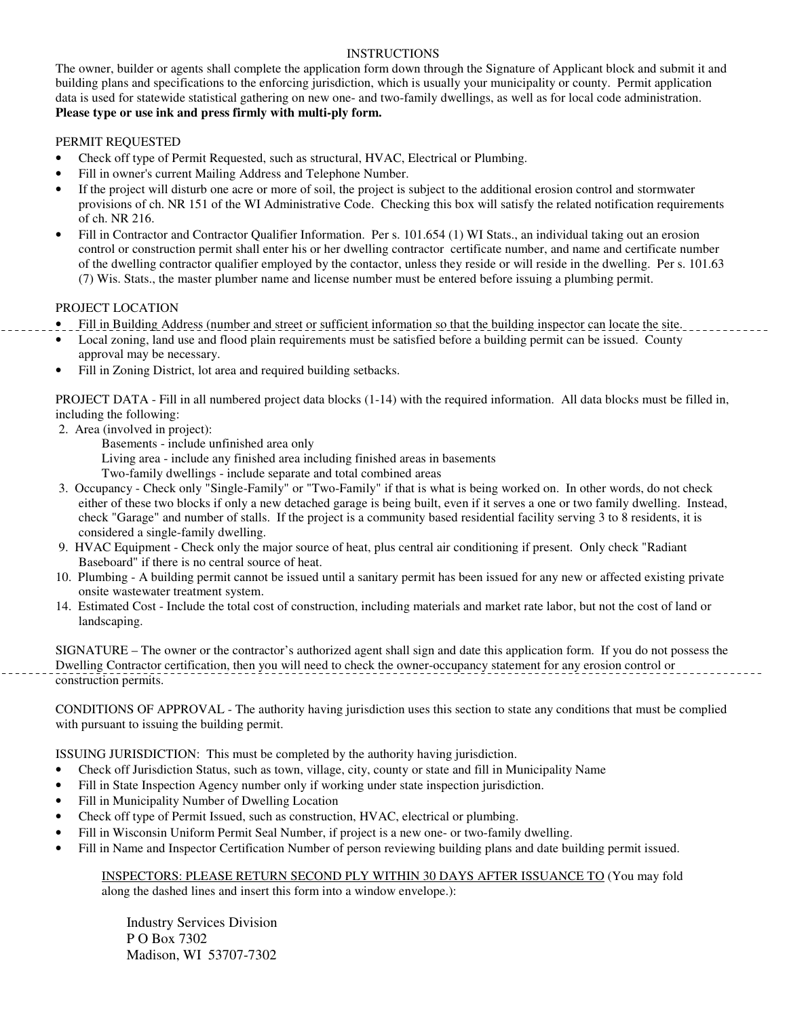#### INSTRUCTIONS

The owner, builder or agents shall complete the application form down through the Signature of Applicant block and submit it and building plans and specifications to the enforcing jurisdiction, which is usually your municipality or county. Permit application data is used for statewide statistical gathering on new one- and two-family dwellings, as well as for local code administration. **Please type or use ink and press firmly with multi-ply form.**

#### PERMIT REQUESTED

- Check off type of Permit Requested, such as structural, HVAC, Electrical or Plumbing.
- Fill in owner's current Mailing Address and Telephone Number.
- If the project will disturb one acre or more of soil, the project is subject to the additional erosion control and stormwater provisions of ch. NR 151 of the WI Administrative Code. Checking this box will satisfy the related notification requirements of ch. NR 216.
- Fill in Contractor and Contractor Qualifier Information. Per s. 101.654 (1) WI Stats., an individual taking out an erosion control or construction permit shall enter his or her dwelling contractor certificate number, and name and certificate number of the dwelling contractor qualifier employed by the contactor, unless they reside or will reside in the dwelling. Per s. 101.63 (7) Wis. Stats., the master plumber name and license number must be entered before issuing a plumbing permit.

#### PROJECT LOCATION

- Fill in Building Address (number and street or sufficient information so that the building inspector can locate the site.
- Local zoning, land use and flood plain requirements must be satisfied before a building permit can be issued. County approval may be necessary.
- Fill in Zoning District, lot area and required building setbacks.

PROJECT DATA - Fill in all numbered project data blocks (1-14) with the required information. All data blocks must be filled in, including the following:

2. Area (involved in project):

Basements - include unfinished area only

Living area - include any finished area including finished areas in basements

- Two-family dwellings include separate and total combined areas
- 3. Occupancy Check only "Single-Family" or "Two-Family" if that is what is being worked on. In other words, do not check either of these two blocks if only a new detached garage is being built, even if it serves a one or two family dwelling. Instead, check "Garage" and number of stalls. If the project is a community based residential facility serving 3 to 8 residents, it is considered a single-family dwelling.
- 9. HVAC Equipment Check only the major source of heat, plus central air conditioning if present. Only check "Radiant Baseboard" if there is no central source of heat.
- 10. Plumbing A building permit cannot be issued until a sanitary permit has been issued for any new or affected existing private onsite wastewater treatment system.
- 14. Estimated Cost Include the total cost of construction, including materials and market rate labor, but not the cost of land or landscaping.

SIGNATURE – The owner or the contractor's authorized agent shall sign and date this application form. If you do not possess the Dwelling Contractor certification, then you will need to check the owner-occupancy statement for any erosion control or construction permits.

CONDITIONS OF APPROVAL - The authority having jurisdiction uses this section to state any conditions that must be complied with pursuant to issuing the building permit.

ISSUING JURISDICTION: This must be completed by the authority having jurisdiction.

- Check off Jurisdiction Status, such as town, village, city, county or state and fill in Municipality Name
- Fill in State Inspection Agency number only if working under state inspection jurisdiction.
- Fill in Municipality Number of Dwelling Location
- Check off type of Permit Issued, such as construction, HVAC, electrical or plumbing.
- Fill in Wisconsin Uniform Permit Seal Number, if project is a new one- or two-family dwelling.
- Fill in Name and Inspector Certification Number of person reviewing building plans and date building permit issued.

#### INSPECTORS: PLEASE RETURN SECOND PLY WITHIN 30 DAYS AFTER ISSUANCE TO (You may fold along the dashed lines and insert this form into a window envelope.):

 Industry Services Division P O Box 7302 Madison, WI 53707-7302